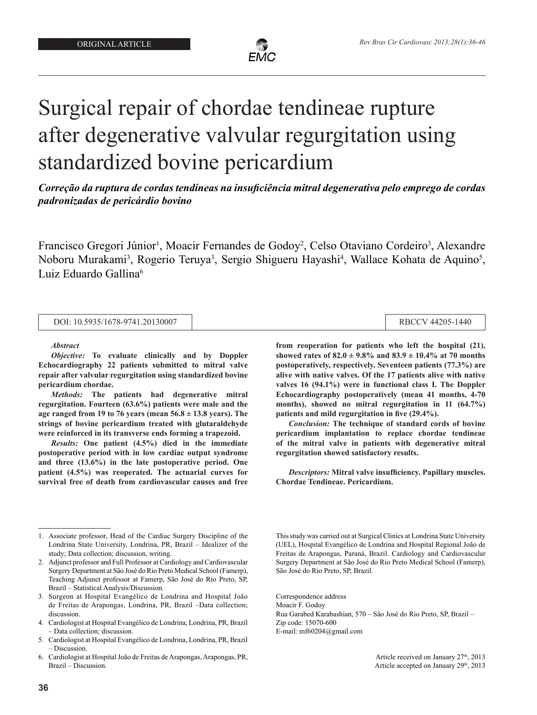

# Surgical repair of chordae tendineae rupture after degenerative valvular regurgitation using standardized bovine pericardium

*Correção da ruptura de cordas tendíneas na insuficiência mitral degenerativa pelo emprego de cordas padronizadas de pericárdio bovino*

Francisco Gregori Júnior<sup>1</sup>, Moacir Fernandes de Godoy<sup>2</sup>, Celso Otaviano Cordeiro<sup>3</sup>, Alexandre Noboru Murakami<sup>3</sup>, Rogerio Teruya<sup>3</sup>, Sergio Shigueru Hayashi<sup>4</sup>, Wallace Kohata de Aquino<sup>5</sup>, Luiz Eduardo Gallina<sup>6</sup>

DOI: 10.5935/1678-9741.20130007 RBCCV 44205-1440

*Abstract*

*Objective:* **To evaluate clinically and by Doppler Echocardiography 22 patients submitted to mitral valve repair after valvular regurgitation using standardized bovine pericardium chordae.** 

*Methods:* **The patients had degenerative mitral regurgitation. Fourteen (63.6%) patients were male and the age ranged from 19 to 76 years (mean 56.8 ± 13.8 years). The strings of bovine pericardium treated with glutaraldehyde were reinforced in its transverse ends forming a trapezoid.** 

*Results:* **One patient (4.5%) died in the immediate postoperative period with in low cardiac output syndrome and three (13.6%) in the late postoperative period. One patient (4.5%) was reoperated. The actuarial curves for survival free of death from cardiovascular causes and free** 

1. Associate professor, Head of the Cardiac Surgery Discipline of the Londrina State University, Londrina, PR, Brazil – Idealizer of the study; Data collection; discussion, writing.

**36**

**from reoperation for patients who left the hospital (21), showed rates of 82.0 ± 9.8% and 83.9 ± 10.4% at 70 months postoperatively, respectively. Seventeen patients (77.3%) are alive with native valves. Of the 17 patients alive with native valves 16 (94.1%) were in functional class I. The Doppler Echocardiography postoperatively (mean 41 months, 4-70 months), showed no mitral regurgitation in 11 (64.7%) patients and mild regurgitation in five (29.4%).** 

*Conclusion:* **The technique of standard cords of bovine pericardium implantation to replace chordae tendineae of the mitral valve in patients with degenerative mitral regurgitation showed satisfactory results.**

*Descriptors:* **Mitral valve insufficiency. Papillary muscles. Chordae Tendineae. Pericardium.**

E-mail: mf60204@gmail.com

<sup>2.</sup> Adjunct professor and Full Professor at Cardiology and Cardiovascular Surgery Department at São José do Rio Preto Medical School (Famerp), Teaching Adjunct professor at Famerp, São José do Rio Preto, SP, Brazil – Statistical Analysis/Discussion.

<sup>3.</sup> Surgeon at Hospital Evangélico de Londrina and Hospital João de Freitas de Arapongas, Londrina, PR, Brazil –Data collection; discussion.

<sup>4.</sup> Cardiologist at Hospital Evangélico de Londrina, Londrina, PR, Brazil – Data collection; discussion.

<sup>5.</sup> Cardiologist at Hospital Evangélico de Londrina, Londrina, PR, Brazil – Discussion.

<sup>6.</sup> Cardiologist at Hospital João de Freitas de Arapongas, Arapongas, PR, Brazil – Discussion.

This study was carried out at Surgical Clinics at Londrina State University (UEL), Hospital Evangélico de Londrina and Hospital Regional João de Freitas de Arapongas, Paraná, Brazil. Cardiology and Cardiovascular Surgery Department at São José do Rio Preto Medical School (Famerp), São José do Rio Preto, SP, Brazil.

Correspondence address Moacir F. Godoy

Rua Garabed Karabashian, 570 – São José do Rio Preto, SP, Brazil – Zip code: 15070-600

Article received on January 27<sup>th</sup>, 2013 Article accepted on January 29<sup>th</sup>, 2013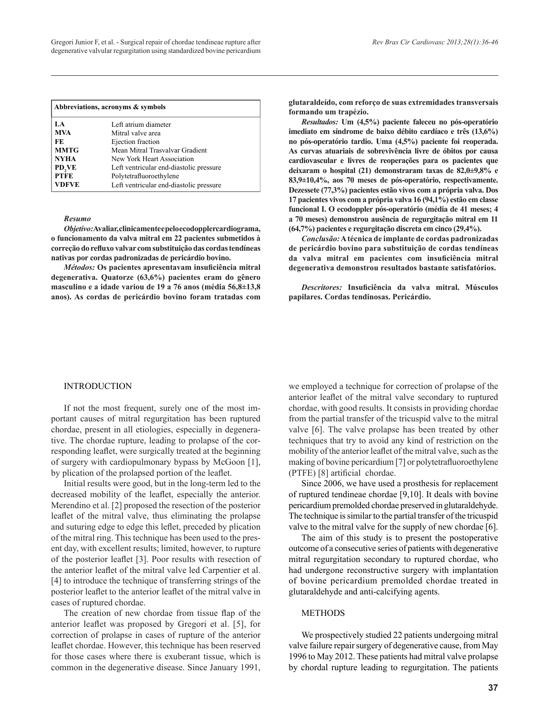| Abbreviations, acronyms & symbols |                                         |  |  |  |
|-----------------------------------|-----------------------------------------|--|--|--|
| LA.                               | Left atrium diameter                    |  |  |  |
| <b>MVA</b>                        | Mitral valve area                       |  |  |  |
| FE                                | Ejection fraction                       |  |  |  |
| <b>MMTG</b>                       | Mean Mitral Trasvalvar Gradient         |  |  |  |
| <b>NYHA</b>                       | New York Heart Association              |  |  |  |
| PD,VE                             | Left ventricular end-diastolic pressure |  |  |  |
| <b>PTFE</b>                       | Polytetrafluoroethylene                 |  |  |  |
| <b>VDFVE</b>                      | Left ventricular end-diastolic pressure |  |  |  |

#### *Resumo*

*Objetivo:* **Avaliar, clinicamente e pelo ecodopplercardiograma, o funcionamento da valva mitral em 22 pacientes submetidos à correção do refluxo valvar com substituição das cordas tendíneas nativas por cordas padronizadas de pericárdio bovino.**

*Métodos:* **Os pacientes apresentavam insuficiência mitral degenerativa. Quatorze (63,6%) pacientes eram do gênero masculino e a idade variou de 19 a 76 anos (média 56,8±13,8 anos). As cordas de pericárdio bovino foram tratadas com**  **glutaraldeído, com reforço de suas extremidades transversais formando um trapézio.** 

*Resultados:* **Um (4,5%) paciente faleceu no pós-operatório imediato em síndrome de baixo débito cardíaco e três (13,6%) no pós-operatório tardio. Uma (4,5%) paciente foi reoperada. As curvas atuariais de sobrevivência livre de óbitos por causa cardiovascular e livres de reoperações para os pacientes que deixaram o hospital (21) demonstraram taxas de 82,0±9,8% e 83,9±10,4%, aos 70 meses de pós-operatório, respectivamente. Dezessete (77,3%) pacientes estão vivos com a própria valva. Dos 17 pacientes vivos com a própria valva 16 (94,1%) estão em classe funcional I. O ecodoppler pós-operatório (média de 41 meses; 4 a 70 meses) demonstrou ausência de regurgitação mitral em 11 (64,7%) pacientes e regurgitação discreta em cinco (29,4%).**

*Conclusão:* **A técnica de implante de cordas padronizadas de pericárdio bovino para substituição de cordas tendíneas da valva mitral em pacientes com insuficiência mitral degenerativa demonstrou resultados bastante satisfatórios.**

*Descritores:* **Insuficiência da valva mitral. Músculos papilares. Cordas tendinosas. Pericárdio.**

#### INTRODUCTION

If not the most frequent, surely one of the most important causes of mitral regurgitation has been ruptured chordae, present in all etiologies, especially in degenerative. The chordae rupture, leading to prolapse of the corresponding leaflet, were surgically treated at the beginning of surgery with cardiopulmonary bypass by McGoon [1], by plication of the prolapsed portion of the leaflet.

Initial results were good, but in the long-term led to the decreased mobility of the leaflet, especially the anterior. Merendino et al. [2] proposed the resection of the posterior leaflet of the mitral valve, thus eliminating the prolapse and suturing edge to edge this leflet, preceded by plication of the mitral ring. This technique has been used to the present day, with excellent results; limited, however, to rupture of the posterior leaflet [3]. Poor results with resection of the anterior leaflet of the mitral valve led Carpentier et al. [4] to introduce the technique of transferring strings of the posterior leaflet to the anterior leaflet of the mitral valve in cases of ruptured chordae.

The creation of new chordae from tissue flap of the anterior leaflet was proposed by Gregori et al. [5], for correction of prolapse in cases of rupture of the anterior leaflet chordae. However, this technique has been reserved for those cases where there is exuberant tissue, which is common in the degenerative disease. Since January 1991, we employed a technique for correction of prolapse of the anterior leaflet of the mitral valve secondary to ruptured chordae, with good results. It consists in providing chordae from the partial transfer of the tricuspid valve to the mitral valve [6]. The valve prolapse has been treated by other techniques that try to avoid any kind of restriction on the mobility of the anterior leaflet of the mitral valve, such as the making of bovine pericardium [7] or polytetrafluoroethylene (PTFE) [8] artificial chordae.

Since 2006, we have used a prosthesis for replacement of ruptured tendineae chordae [9,10]. It deals with bovine pericardium premolded chordae preserved in glutaraldehyde. The technique is similar to the partial transfer of the tricuspid valve to the mitral valve for the supply of new chordae [6].

The aim of this study is to present the postoperative outcome of a consecutive series of patients with degenerative mitral regurgitation secondary to ruptured chordae, who had undergone reconstructive surgery with implantation of bovine pericardium premolded chordae treated in glutaraldehyde and anti-calcifying agents.

# METHODS

We prospectively studied 22 patients undergoing mitral valve failure repair surgery of degenerative cause, from May 1996 to May 2012. These patients had mitral valve prolapse by chordal rupture leading to regurgitation. The patients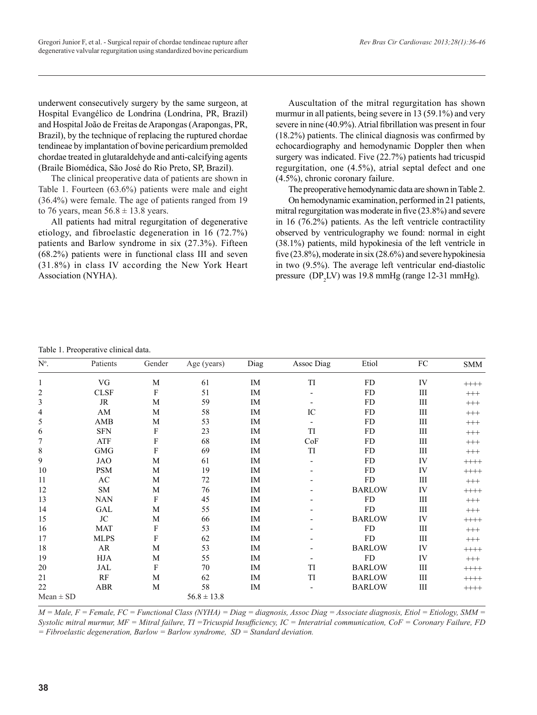underwent consecutively surgery by the same surgeon, at Hospital Evangélico de Londrina (Londrina, PR, Brazil) and Hospital João de Freitas de Arapongas (Arapongas, PR, Brazil), by the technique of replacing the ruptured chordae tendineae by implantation of bovine pericardium premolded chordae treated in glutaraldehyde and anti-calcifying agents (Braile Biomédica, São José do Rio Preto, SP, Brazil).

The clinical preoperative data of patients are shown in Table 1. Fourteen (63.6%) patients were male and eight (36.4%) were female. The age of patients ranged from 19 to 76 years, mean  $56.8 \pm 13.8$  years.

All patients had mitral regurgitation of degenerative etiology, and fibroelastic degeneration in 16 (72.7%) patients and Barlow syndrome in six (27.3%). Fifteen (68.2%) patients were in functional class III and seven (31.8%) in class IV according the New York Heart Association (NYHA).

Auscultation of the mitral regurgitation has shown murmur in all patients, being severe in 13 (59.1%) and very severe in nine (40.9%). Atrial fibrillation was present in four (18.2%) patients. The clinical diagnosis was confirmed by echocardiography and hemodynamic Doppler then when surgery was indicated. Five (22.7%) patients had tricuspid regurgitation, one (4.5%), atrial septal defect and one (4.5%), chronic coronary failure.

The preoperative hemodynamic data are shown in Table 2.

On hemodynamic examination, performed in 21 patients, mitral regurgitation was moderate in five (23.8%) and severe in 16 (76.2%) patients. As the left ventricle contractility observed by ventriculography we found: normal in eight (38.1%) patients, mild hypokinesia of the left ventricle in five (23.8%), moderate in six (28.6%) and severe hypokinesia in two (9.5%). The average left ventricular end-diastolic pressure  $(DP<sub>2</sub>LV)$  was 19.8 mmHg (range 12-31 mmHg).

#### Table 1. Preoperative clinical data.

| $\mathrm{N}^\mathrm{o}.$ | Patients      | Gender      | Age (years)     | Diag | Assoc Diag        | Etiol         | ${\rm FC}$ | <b>SMM</b> |
|--------------------------|---------------|-------------|-----------------|------|-------------------|---------------|------------|------------|
| 1                        | VG            | M           | 61              | IM   | TI                | ${\rm FD}$    | IV         | $+++++$    |
| 2                        | <b>CLSF</b>   | F           | 51              | IM   |                   | FD            | Ш          | $^{+++}$   |
| 3                        | JR            | M           | 59              | IM   |                   | <b>FD</b>     | Ш          | $^{+++}$   |
| 4                        | AM            | М           | 58              | IM   | IC                | <b>FD</b>     | Ш          | $^{+++}$   |
| 5                        | AMB           | M           | 53              | IM   |                   | <b>FD</b>     | Ш          | $^{+++}$   |
| 6                        | <b>SFN</b>    | F           | 23              | IM   | TI                | <b>FD</b>     | Ш          | $^{+++}$   |
| 7                        | ${\sf ATF}$   | ${\bf F}$   | 68              | IM   | CoF               | ${\rm FD}$    | III        | $^{+++}$   |
| 8                        | <b>GMG</b>    | F           | 69              | IM   | $\mathop{\rm TI}$ | FD            | Ш          | $^{+++}$   |
| 9                        | JAO           | M           | 61              | IM   |                   | FD            | IV         | $+++++$    |
| 10                       | <b>PSM</b>    | M           | 19              | IM   |                   | FD            | IV         | $+++++$    |
| 11                       | AC            | M           | 72              | IM   |                   | ${\rm FD}$    | Ш          | $^{+++}$   |
| 12                       | ${\rm SM}$    | M           | 76              | IM   |                   | <b>BARLOW</b> | IV         | $+++++$    |
| 13                       | <b>NAN</b>    | $\mathbf F$ | 45              | IM   |                   | ${\rm FD}$    | Ш          | $^{+++}$   |
| 14                       | GAL           | M           | 55              | IM   |                   | <b>FD</b>     | Ш          | $^{+++}$   |
| 15                       | $\rm JC$      | $\mathbf M$ | 66              | IM   |                   | <b>BARLOW</b> | IV         | $+++++$    |
| 16                       | <b>MAT</b>    | ${\bf F}$   | 53              | IM   |                   | ${\rm FD}$    | Ш          | $^{+++}$   |
| 17                       | <b>MLPS</b>   | F           | 62              | IM   |                   | <b>FD</b>     | Ш          | $^{+++}$   |
| 18                       | AR            | M           | 53              | IM   |                   | <b>BARLOW</b> | IV         | $++++$     |
| 19                       | $_{\rm HJA}$  | $\mathbf M$ | 55              | IM   |                   | ${\rm FD}$    | IV         | $^{+++}$   |
| 20                       | JAL           | $\mathbf F$ | 70              | IM   | TI                | <b>BARLOW</b> | Ш          | $++++$     |
| 21                       | $\mathbf{RF}$ | M           | 62              | IM   | TI                | <b>BARLOW</b> | Ш          | $+++++$    |
| 22                       | ABR           | M           | 58              | IM   |                   | <b>BARLOW</b> | Ш          | $+++++$    |
| $Mean \pm SD$            |               |             | $56.8 \pm 13.8$ |      |                   |               |            |            |

*M = Male, F = Female, FC = Functional Class (NYHA) = Diag = diagnosis, Assoc Diag = Associate diagnosis, Etiol = Etiology, SMM = Systolic mitral murmur, MF = Mitral failure, TI =Tricuspid Insufficiency, IC = Interatrial communication, CoF = Coronary Failure, FD = Fibroelastic degeneration, Barlow = Barlow syndrome, SD = Standard deviation.*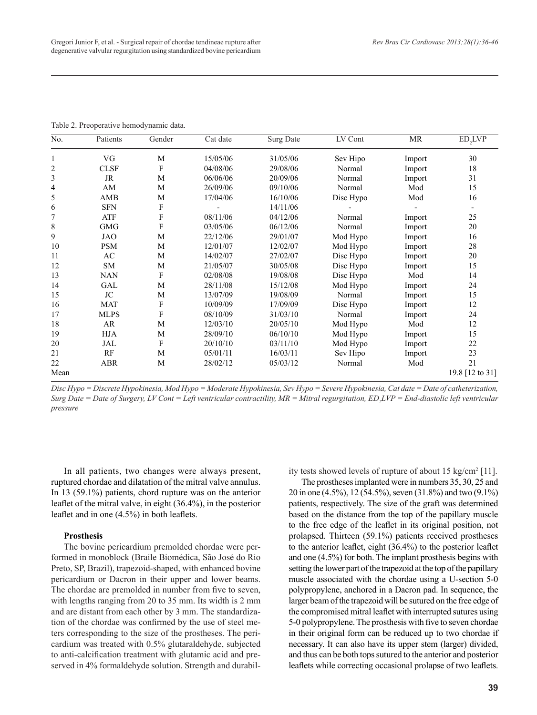| No.  | Patients    | Gender                    | Cat date | Surg Date | LV Cont   | <b>MR</b> | ED,LVP          |
|------|-------------|---------------------------|----------|-----------|-----------|-----------|-----------------|
|      | VG          | M                         | 15/05/06 | 31/05/06  | Sev Hipo  | Import    | 30              |
| 2    | <b>CLSF</b> | F                         | 04/08/06 | 29/08/06  | Normal    | Import    | 18              |
| 3    | <b>JR</b>   | M                         | 06/06/06 | 20/09/06  | Normal    | Import    | 31              |
| 4    | AM          | M                         | 26/09/06 | 09/10/06  | Normal    | Mod       | 15              |
| 5    | AMB         | M                         | 17/04/06 | 16/10/06  | Disc Hypo | Mod       | 16              |
| 6    | <b>SFN</b>  | F                         |          | 14/11/06  |           |           |                 |
|      | ATF         | F                         | 08/11/06 | 04/12/06  | Normal    | Import    | 25              |
| 8    | <b>GMG</b>  | F                         | 03/05/06 | 06/12/06  | Normal    | Import    | 20              |
| 9    | <b>JAO</b>  | M                         | 22/12/06 | 29/01/07  | Mod Hypo  | Import    | 16              |
| 10   | <b>PSM</b>  | M                         | 12/01/07 | 12/02/07  | Mod Hypo  | Import    | 28              |
| 11   | AC          | M                         | 14/02/07 | 27/02/07  | Disc Hypo | Import    | 20              |
| 12   | <b>SM</b>   | M                         | 21/05/07 | 30/05/08  | Disc Hypo | Import    | 15              |
| 13   | <b>NAN</b>  | F                         | 02/08/08 | 19/08/08  | Disc Hypo | Mod       | 14              |
| 14   | <b>GAL</b>  | M                         | 28/11/08 | 15/12/08  | Mod Hypo  | Import    | 24              |
| 15   | JC          | M                         | 13/07/09 | 19/08/09  | Normal    | Import    | 15              |
| 16   | <b>MAT</b>  | F                         | 10/09/09 | 17/09/09  | Disc Hypo | Import    | 12              |
| 17   | <b>MLPS</b> | $\boldsymbol{\mathrm{F}}$ | 08/10/09 | 31/03/10  | Normal    | Import    | 24              |
| 18   | AR          | M                         | 12/03/10 | 20/05/10  | Mod Hypo  | Mod       | 12              |
| 19   | <b>HJA</b>  | M                         | 28/09/10 | 06/10/10  | Mod Hypo  | Import    | 15              |
| 20   | JAL         | F                         | 20/10/10 | 03/11/10  | Mod Hypo  | Import    | 22              |
| 21   | RF          | M                         | 05/01/11 | 16/03/11  | Sev Hipo  | Import    | 23              |
| 22   | <b>ABR</b>  | M                         | 28/02/12 | 05/03/12  | Normal    | Mod       | 21              |
| Mean |             |                           |          |           |           |           | 19.8 [12 to 31] |

Table 2. Preoperative hemodynamic data.

*Disc Hypo = Discrete Hypokinesia, Mod Hypo = Moderate Hypokinesia, Sev Hypo = Severe Hypokinesia, Cat date = Date of catheterization,*  Surg Date = Date of Surgery, LV Cont = Left ventricular contractility, MR = Mitral regurgitation, ED<sub>2</sub>LVP = End-diastolic left ventricular *pressure*

In all patients, two changes were always present, ruptured chordae and dilatation of the mitral valve annulus. In 13 (59.1%) patients, chord rupture was on the anterior leaflet of the mitral valve, in eight (36.4%), in the posterior leaflet and in one (4.5%) in both leaflets.

# **Prosthesis**

The bovine pericardium premolded chordae were performed in monoblock (Braile Biomédica, São José do Rio Preto, SP, Brazil), trapezoid-shaped, with enhanced bovine pericardium or Dacron in their upper and lower beams. The chordae are premolded in number from five to seven, with lengths ranging from 20 to 35 mm. Its width is 2 mm and are distant from each other by 3 mm. The standardization of the chordae was confirmed by the use of steel meters corresponding to the size of the prostheses. The pericardium was treated with 0.5% glutaraldehyde, subjected to anti-calcification treatment with glutamic acid and preserved in 4% formaldehyde solution. Strength and durability tests showed levels of rupture of about 15 kg/cm2 [11].

The prostheses implanted were in numbers 35, 30, 25 and 20 in one (4.5%), 12 (54.5%), seven (31.8%) and two (9.1%) patients, respectively. The size of the graft was determined based on the distance from the top of the papillary muscle to the free edge of the leaflet in its original position, not prolapsed. Thirteen (59.1%) patients received prostheses to the anterior leaflet, eight (36.4%) to the posterior leaflet and one (4.5%) for both. The implant prosthesis begins with setting the lower part of the trapezoid at the top of the papillary muscle associated with the chordae using a U-section 5-0 polypropylene, anchored in a Dacron pad. In sequence, the larger beam of the trapezoid will be sutured on the free edge of the compromised mitral leaflet with interrupted sutures using 5-0 polypropylene. The prosthesis with five to seven chordae in their original form can be reduced up to two chordae if necessary. It can also have its upper stem (larger) divided, and thus can be both tops sutured to the anterior and posterior leaflets while correcting occasional prolapse of two leaflets.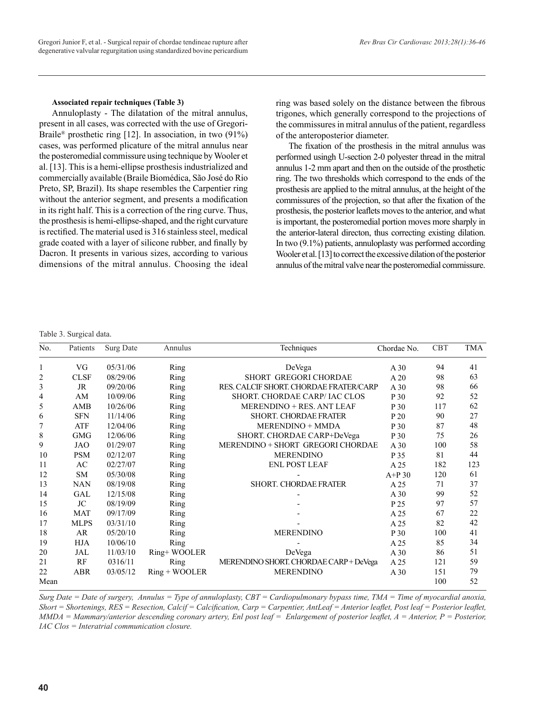### **Associated repair techniques (Table 3)**

Annuloplasty - The dilatation of the mitral annulus, present in all cases, was corrected with the use of Gregori-Braile® prosthetic ring [12]. In association, in two (91%) cases, was performed plicature of the mitral annulus near the posteromedial commissure using technique by Wooler et al. [13]. This is a hemi-ellipse prosthesis industrialized and commercially available (Braile Biomédica, São José do Rio Preto, SP, Brazil). Its shape resembles the Carpentier ring without the anterior segment, and presents a modification in its right half. This is a correction of the ring curve. Thus, the prosthesis is hemi-ellipse-shaped, and the right curvature is rectified. The material used is 316 stainless steel, medical grade coated with a layer of silicone rubber, and finally by Dacron. It presents in various sizes, according to various dimensions of the mitral annulus. Choosing the ideal ring was based solely on the distance between the fibrous trigones, which generally correspond to the projections of the commissures in mitral annulus of the patient, regardless of the anteroposterior diameter.

The fixation of the prosthesis in the mitral annulus was performed usingh U-section 2-0 polyester thread in the mitral annulus 1-2 mm apart and then on the outside of the prosthetic ring. The two thresholds which correspond to the ends of the prosthesis are applied to the mitral annulus, at the height of the commissures of the projection, so that after the fixation of the prosthesis, the posterior leaflets moves to the anterior, and what is important, the posteromedial portion moves more sharply in the anterior-lateral directon, thus correcting existing dilation. In two (9.1%) patients, annuloplasty was performed according Wooler et al. [13] to correct the excessive dilation of the posterior annulus of the mitral valve near the posteromedial commissure.

### Table 3. Surgical data.

| No.  | Patients    | Surg Date | Annulus         | Techniques                             | Chordae No. | <b>CBT</b> | <b>TMA</b> |
|------|-------------|-----------|-----------------|----------------------------------------|-------------|------------|------------|
|      | VG          | 05/31/06  | Ring            | DeVega                                 | A30         | 94         | 41         |
| 2    | <b>CLSF</b> | 08/29/06  | Ring            | SHORT GREGORI CHORDAE                  | A20         | 98         | 63         |
| 3    | JR          | 09/20/06  | Ring            | RES. CALCIF SHORT. CHORDAE FRATER/CARP | A30         | 98         | 66         |
| 4    | AM          | 10/09/06  | Ring            | SHORT. CHORDAE CARP/IAC CLOS           | P 30        | 92         | 52         |
| 5    | AMB         | 10/26/06  | <b>Ring</b>     | MERENDINO + RES. ANT LEAF              | P 30        | 117        | 62         |
| 6    | <b>SFN</b>  | 11/14/06  | Ring            | <b>SHORT. CHORDAE FRATER</b>           | P 20        | 90         | 27         |
| 7    | ATF         | 12/04/06  | Ring            | <b>MERENDINO + MMDA</b>                | P 30        | 87         | 48         |
| 8    | <b>GMG</b>  | 12/06/06  | Ring            | SHORT. CHORDAE CARP+DeVega             | P 30        | 75         | 26         |
| 9    | <b>JAO</b>  | 01/29/07  | Ring            | MERENDINO + SHORT GREGORI CHORDAE      | A30         | 100        | 58         |
| 10   | <b>PSM</b>  | 02/12/07  | Ring            | <b>MERENDINO</b>                       | P 35        | 81         | 44         |
| 11   | AC          | 02/27/07  | Ring            | <b>ENL POST LEAF</b>                   | A 25        | 182        | 123        |
| 12   | SM          | 05/30/08  | Ring            |                                        | $A+P30$     | 120        | 61         |
| 13   | <b>NAN</b>  | 08/19/08  | Ring            | <b>SHORT. CHORDAE FRATER</b>           | A 25        | 71         | 37         |
| 14   | GAL         | 12/15/08  | Ring            |                                        | A30         | 99         | 52         |
| 15   | JC          | 08/19/09  | Ring            |                                        | P 25        | 97         | 57         |
| 16   | <b>MAT</b>  | 09/17/09  | Ring            |                                        | A 25        | 67         | 22         |
| 17   | <b>MLPS</b> | 03/31/10  | Ring            |                                        | A 25        | 82         | 42         |
| 18   | AR          | 05/20/10  | Ring            | <b>MERENDINO</b>                       | P 30        | 100        | 41         |
| 19   | <b>HJA</b>  | 10/06/10  | Ring            |                                        | A 25        | 85         | 34         |
| 20   | JAL         | 11/03/10  | Ring+WOOLER     | DeVega                                 | A30         | 86         | 51         |
| 21   | RF          | 0316/11   | <b>Ring</b>     | MERENDINO SHORT. CHORDAE CARP+DeVega   | A 25        | 121        | 59         |
| 22   | ABR         | 03/05/12  | $Ring + WOOLER$ | <b>MERENDINO</b>                       | A30         | 151        | 79         |
| Mean |             |           |                 |                                        |             | 100        | 52         |

*Surg Date = Date of surgery, Annulus = Type of annuloplasty, CBT = Cardiopulmonary bypass time, TMA = Time of myocardial anoxia, Short = Shortenings, RES = Resection, Calcif = Calcification, Carp = Carpentier, AntLeaf = Anterior leaflet, Post leaf = Posterior leaflet, MMDA = Mammary/anterior descending coronary artery, Enl post leaf = Enlargement of posterior leaflet, A = Anterior, P = Posterior, IAC Clos = Interatrial communication closure.*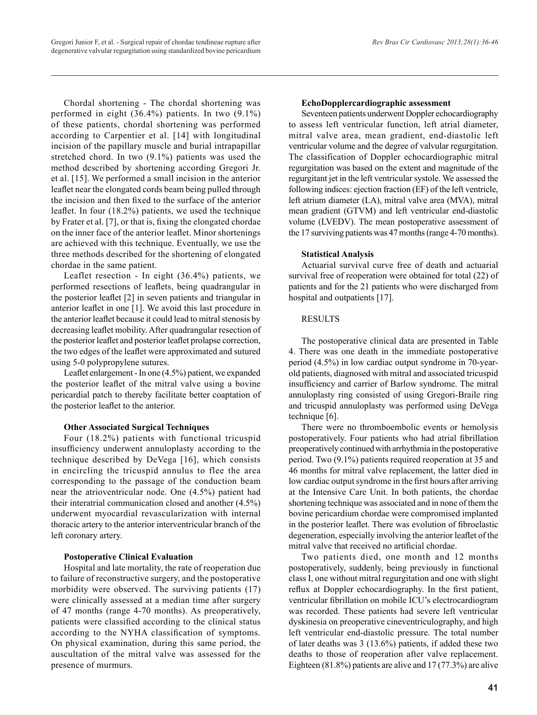Chordal shortening - The chordal shortening was performed in eight (36.4%) patients. In two (9.1%) of these patients, chordal shortening was performed according to Carpentier et al. [14] with longitudinal incision of the papillary muscle and burial intrapapillar stretched chord. In two (9.1%) patients was used the method described by shortening according Gregori Jr. et al. [15]. We performed a small incision in the anterior leaflet near the elongated cords beam being pulled through the incision and then fixed to the surface of the anterior leaflet. In four (18.2%) patients, we used the technique by Frater et al. [7], or that is, fixing the elongated chordae on the inner face of the anterior leaflet. Minor shortenings are achieved with this technique. Eventually, we use the three methods described for the shortening of elongated chordae in the same patient.

Leaflet resection - In eight (36.4%) patients, we performed resections of leaflets, being quadrangular in the posterior leaflet [2] in seven patients and triangular in anterior leaflet in one [1]. We avoid this last procedure in the anterior leaflet because it could lead to mitral stenosis by decreasing leaflet mobility. After quadrangular resection of the posterior leaflet and posterior leaflet prolapse correction, the two edges of the leaflet were approximated and sutured using 5-0 polypropylene sutures.

Leaflet enlargement - In one (4.5%) patient, we expanded the posterior leaflet of the mitral valve using a bovine pericardial patch to thereby facilitate better coaptation of the posterior leaflet to the anterior.

# **Other Associated Surgical Techniques**

Four (18.2%) patients with functional tricuspid insufficiency underwent annuloplasty according to the technique described by DeVega [16], which consists in encircling the tricuspid annulus to flee the area corresponding to the passage of the conduction beam near the atrioventricular node. One (4.5%) patient had their interatrial communication closed and another (4.5%) underwent myocardial revascularization with internal thoracic artery to the anterior interventricular branch of the left coronary artery.

# **Postoperative Clinical Evaluation**

Hospital and late mortality, the rate of reoperation due to failure of reconstructive surgery, and the postoperative morbidity were observed. The surviving patients (17) were clinically assessed at a median time after surgery of 47 months (range 4-70 months). As preoperatively, patients were classified according to the clinical status according to the NYHA classification of symptoms. On physical examination, during this same period, the auscultation of the mitral valve was assessed for the presence of murmurs.

## **EchoDopplercardiographic assessment**

Seventeen patients underwent Doppler echocardiography to assess left ventricular function, left atrial diameter, mitral valve area, mean gradient, end-diastolic left ventricular volume and the degree of valvular regurgitation. The classification of Doppler echocardiographic mitral regurgitation was based on the extent and magnitude of the regurgitant jet in the left ventricular systole. We assessed the following indices: ejection fraction (EF) of the left ventricle, left atrium diameter (LA), mitral valve area (MVA), mitral mean gradient (GTVM) and left ventricular end-diastolic volume (LVEDV). The mean postoperative assessment of the 17 surviving patients was 47 months (range 4-70 months).

# **Statistical Analysis**

Actuarial survival curve free of death and actuarial survival free of reoperation were obtained for total (22) of patients and for the 21 patients who were discharged from hospital and outpatients [17].

# RESULTS

The postoperative clinical data are presented in Table 4. There was one death in the immediate postoperative period (4.5%) in low cardiac output syndrome in 70-yearold patients, diagnosed with mitral and associated tricuspid insufficiency and carrier of Barlow syndrome. The mitral annuloplasty ring consisted of using Gregori-Braile ring and tricuspid annuloplasty was performed using DeVega technique [6].

There were no thromboembolic events or hemolysis postoperatively. Four patients who had atrial fibrillation preoperatively continued with arrhythmia in the postoperative period. Two (9.1%) patients required reoperation at 35 and 46 months for mitral valve replacement, the latter died in low cardiac output syndrome in the first hours after arriving at the Intensive Care Unit. In both patients, the chordae shortening technique was associated and in none of them the bovine pericardium chordae were compromised implanted in the posterior leaflet. There was evolution of fibroelastic degeneration, especially involving the anterior leaflet of the mitral valve that received no artificial chordae.

Two patients died, one month and 12 months postoperatively, suddenly, being previously in functional class I, one without mitral regurgitation and one with slight reflux at Doppler echocardiography. In the first patient, ventricular fibrillation on mobile ICU's electrocardiogram was recorded. These patients had severe left ventricular dyskinesia on preoperative cineventriculography, and high left ventricular end-diastolic pressure. The total number of later deaths was 3 (13.6%) patients, if added these two deaths to those of reoperation after valve replacement. Eighteen (81.8%) patients are alive and 17 (77.3%) are alive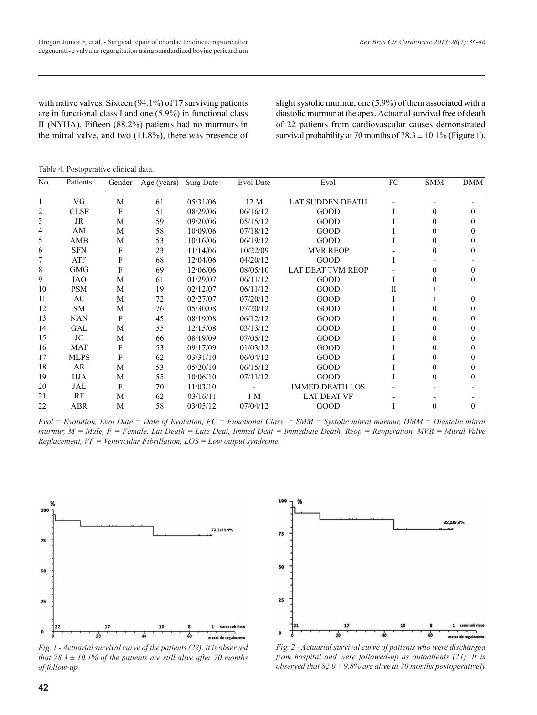with native valves. Sixteen (94.1%) of 17 surviving patients are in functional class I and one (5.9%) in functional class II (NYHA). Fifteen (88.2%) patients had no murmurs in the mitral valve, and two (11.8%), there was presence of slight systolic murmur, one (5.9%) of them associated with a diastolic murmur at the apex. Actuarial survival free of death of 22 patients from cardiovascular causes demonstrated survival probability at 70 months of  $78.3 \pm 10.1\%$  (Figure 1).

Table 4. Postoperative clinical data.

| No. | Patients    | Gender | Age (years) | Surg Date | Evol Date | Evol                     | ${\rm FC}$   | <b>SMM</b> | <b>DMM</b> |
|-----|-------------|--------|-------------|-----------|-----------|--------------------------|--------------|------------|------------|
|     | VG          | M      | 61          | 05/31/06  | 12 M      | <b>LAT SUDDEN DEATH</b>  |              |            |            |
| 2   | <b>CLSF</b> | F      | 51          | 08/29/06  | 06/16/12  | GOOD                     |              | $\theta$   |            |
| 3   | JR          | M      | 59          | 09/20/06  | 05/15/12  | GOOD                     |              | $\Omega$   |            |
| 4   | AM          | M      | 58          | 10/09/06  | 07/18/12  | GOOD                     |              |            |            |
| 5   | AMB         | M      | 53          | 10/16/06  | 06/19/12  | GOOD                     |              |            |            |
| 6   | <b>SFN</b>  | F      | 23          | 11/14/06  | 10/22/09  | <b>MVR REOP</b>          |              |            |            |
|     | ATF         | F      | 68          | 12/04/06  | 04/20/12  | GOOD                     |              |            |            |
| 8   | <b>GMG</b>  | F      | 69          | 12/06/06  | 08/05/10  | <b>LAT DEAT TVM REOP</b> |              |            |            |
| 9   | <b>JAO</b>  | M      | 61          | 01/29/07  | 06/11/12  | GOOD                     |              | $\Omega$   |            |
| 10  | <b>PSM</b>  | M      | 19          | 02/12/07  | 06/11/12  | GOOD                     | $\mathbf{I}$ |            |            |
| 11  | AC          | M      | 72          | 02/27/07  | 07/20/12  | GOOD                     |              | $^{+}$     |            |
| 12  | <b>SM</b>   | M      | 76          | 05/30/08  | 07/20/12  | GOOD                     |              | $\Omega$   |            |
| 13  | <b>NAN</b>  | F      | 45          | 08/19/08  | 06/12/12  | GOOD                     |              |            |            |
| 14  | GAL         | M      | 55          | 12/15/08  | 03/13/12  | GOOD                     |              |            |            |
| 15  | JC          | M      | 66          | 08/19/09  | 07/05/12  | GOOD                     |              |            |            |
| 16  | <b>MAT</b>  | F      | 53          | 09/17/09  | 01/03/12  | GOOD                     |              |            |            |
| 17  | <b>MLPS</b> | F      | 62          | 03/31/10  | 06/04/12  | GOOD                     |              |            |            |
| 18  | AR          | M      | 53          | 05/20/10  | 06/15/12  | GOOD                     |              | 0          |            |
| 19  | <b>HJA</b>  | M      | 55          | 10/06/10  | 07/11/12  | GOOD                     |              | $\Omega$   |            |
| 20  | JAL         | F      | 70          | 11/03/10  |           | <b>IMMED DEATH LOS</b>   |              |            |            |
| 21  | RF          | M      | 62          | 03/16/11  | 1 M       | <b>LAT DEAT VF</b>       |              |            |            |
| 22  | <b>ABR</b>  | M      | 58          | 03/05/12  | 07/04/12  | GOOD                     |              | 0          | 0          |

*Evol = Evolution, Evol Date = Date of Evolution, FC = Functional Class, = SMM = Systolic mitral murmur, DMM = Diastolic mitral murmur, M = Male, F = Female, Lat Death = Late Deat, Immed Deat = Immediate Death, Reop = Reoperation, MVR = Mitral Valve Replacement, VF = Ventricular Fibrillation, LOS = Low output syndrome.*



*Fig. 1 - Actuarial survival curve of the patients (22). It is observed that 78.3*  $\pm$  10.1% of the patients are still alive after 70 months *of follow-up*



*Fig. 2 - Actuarial survival curve of patients who were discharged from hospital and were followed-up as outpatients (21). It is observed that 82.0 ± 9.8% are alive at 70 months postoperatively*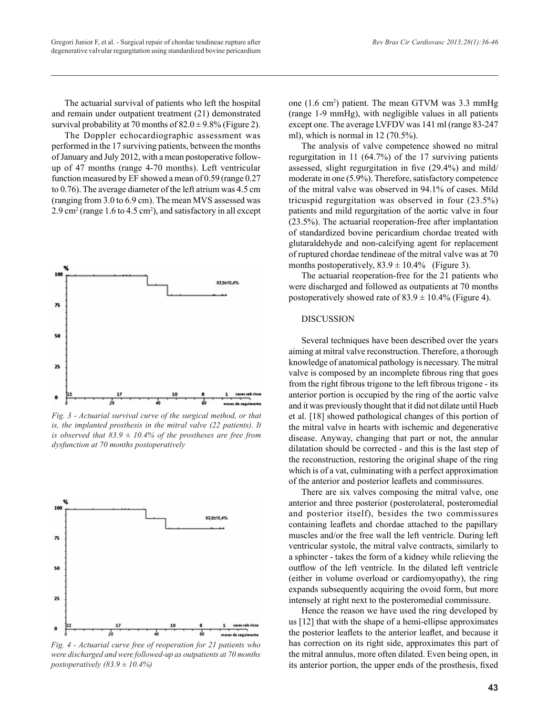The actuarial survival of patients who left the hospital and remain under outpatient treatment (21) demonstrated survival probability at 70 months of  $82.0 \pm 9.8\%$  (Figure 2).

The Doppler echocardiographic assessment was performed in the 17 surviving patients, between the months of January and July 2012, with a mean postoperative followup of 47 months (range 4-70 months). Left ventricular function measured by EF showed a mean of 0.59 (range 0.27 to 0.76). The average diameter of the left atrium was 4.5 cm (ranging from 3.0 to 6.9 cm). The mean MVS assessed was 2.9 cm2 (range 1.6 to 4.5 cm2 ), and satisfactory in all except



*Fig. 3 - Actuarial survival curve of the surgical method, or that is, the implanted prosthesis in the mitral valve (22 patients). It is observed that 83.9*  $\pm$  *10.4% of the prostheses are free from dysfunction at 70 months postoperatively*



*Fig. 4 - Actuarial curve free of reoperation for 21 patients who were discharged and were followed-up as outpatients at 70 months postoperatively (83.9 ± 10.4%)*

one (1.6 cm2 ) patient. The mean GTVM was 3.3 mmHg (range 1-9 mmHg), with negligible values in all patients except one. The average LVFDV was 141 ml (range 83-247 ml), which is normal in 12 (70.5%).

The analysis of valve competence showed no mitral regurgitation in 11 (64.7%) of the 17 surviving patients assessed, slight regurgitation in five (29.4%) and mild/ moderate in one (5.9%). Therefore, satisfactory competence of the mitral valve was observed in 94.1% of cases. Mild tricuspid regurgitation was observed in four (23.5%) patients and mild regurgitation of the aortic valve in four (23.5%). The actuarial reoperation-free after implantation of standardized bovine pericardium chordae treated with glutaraldehyde and non-calcifying agent for replacement of ruptured chordae tendineae of the mitral valve was at 70 months postoperatively,  $83.9 \pm 10.4\%$  (Figure 3).

The actuarial reoperation-free for the 21 patients who were discharged and followed as outpatients at 70 months postoperatively showed rate of  $83.9 \pm 10.4\%$  (Figure 4).

# DISCUSSION

Several techniques have been described over the years aiming at mitral valve reconstruction. Therefore, a thorough knowledge of anatomical pathology is necessary. The mitral valve is composed by an incomplete fibrous ring that goes from the right fibrous trigone to the left fibrous trigone - its anterior portion is occupied by the ring of the aortic valve and it was previously thought that it did not dilate until Hueb et al. [18] showed pathological changes of this portion of the mitral valve in hearts with ischemic and degenerative disease. Anyway, changing that part or not, the annular dilatation should be corrected - and this is the last step of the reconstruction, restoring the original shape of the ring which is of a vat, culminating with a perfect approximation of the anterior and posterior leaflets and commissures.

There are six valves composing the mitral valve, one anterior and three posterior (posterolateral, posteromedial and posterior itself), besides the two commissures containing leaflets and chordae attached to the papillary muscles and/or the free wall the left ventricle. During left ventricular systole, the mitral valve contracts, similarly to a sphincter - takes the form of a kidney while relieving the outflow of the left ventricle. In the dilated left ventricle (either in volume overload or cardiomyopathy), the ring expands subsequently acquiring the ovoid form, but more intensely at right next to the posteromedial commissure.

Hence the reason we have used the ring developed by us [12] that with the shape of a hemi-ellipse approximates the posterior leaflets to the anterior leaflet, and because it has correction on its right side, approximates this part of the mitral annulus, more often dilated. Even being open, in its anterior portion, the upper ends of the prosthesis, fixed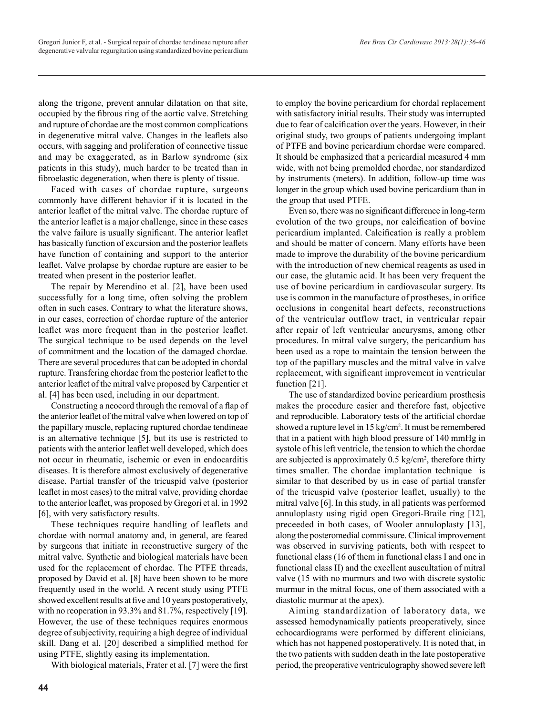along the trigone, prevent annular dilatation on that site, occupied by the fibrous ring of the aortic valve. Stretching and rupture of chordae are the most common complications in degenerative mitral valve. Changes in the leaflets also occurs, with sagging and proliferation of connective tissue and may be exaggerated, as in Barlow syndrome (six patients in this study), much harder to be treated than in fibroelastic degeneration, when there is plenty of tissue.

Faced with cases of chordae rupture, surgeons commonly have different behavior if it is located in the anterior leaflet of the mitral valve. The chordae rupture of the anterior leaflet is a major challenge, since in these cases the valve failure is usually significant. The anterior leaflet has basically function of excursion and the posterior leaflets have function of containing and support to the anterior leaflet. Valve prolapse by chordae rupture are easier to be treated when present in the posterior leaflet.

The repair by Merendino et al. [2], have been used successfully for a long time, often solving the problem often in such cases. Contrary to what the literature shows, in our cases, correction of chordae rupture of the anterior leaflet was more frequent than in the posterior leaflet. The surgical technique to be used depends on the level of commitment and the location of the damaged chordae. There are several procedures that can be adopted in chordal rupture. Transfering chordae from the posterior leaflet to the anterior leaflet of the mitral valve proposed by Carpentier et al. [4] has been used, including in our department.

Constructing a neocord through the removal of a flap of the anterior leaflet of the mitral valve when lowered on top of the papillary muscle, replacing ruptured chordae tendineae is an alternative technique [5], but its use is restricted to patients with the anterior leaflet well developed, which does not occur in rheumatic, ischemic or even in endocarditis diseases. It is therefore almost exclusively of degenerative disease. Partial transfer of the tricuspid valve (posterior leaflet in most cases) to the mitral valve, providing chordae to the anterior leaflet, was proposed by Gregori et al. in 1992 [6], with very satisfactory results.

These techniques require handling of leaflets and chordae with normal anatomy and, in general, are feared by surgeons that initiate in reconstructive surgery of the mitral valve. Synthetic and biological materials have been used for the replacement of chordae. The PTFE threads, proposed by David et al. [8] have been shown to be more frequently used in the world. A recent study using PTFE showed excellent results at five and 10 years postoperatively, with no reoperation in 93.3% and 81.7%, respectively [19]. However, the use of these techniques requires enormous degree of subjectivity, requiring a high degree of individual skill. Dang et al. [20] described a simplified method for using PTFE, slightly easing its implementation.

With biological materials, Frater et al. [7] were the first

to employ the bovine pericardium for chordal replacement with satisfactory initial results. Their study was interrupted due to fear of calcification over the years. However, in their original study, two groups of patients undergoing implant of PTFE and bovine pericardium chordae were compared. It should be emphasized that a pericardial measured 4 mm wide, with not being premolded chordae, nor standardized by instruments (meters). In addition, follow-up time was longer in the group which used bovine pericardium than in the group that used PTFE.

Even so, there was no significant difference in long-term evolution of the two groups, nor calcification of bovine pericardium implanted. Calcification is really a problem and should be matter of concern. Many efforts have been made to improve the durability of the bovine pericardium with the introduction of new chemical reagents as used in our case, the glutamic acid. It has been very frequent the use of bovine pericardium in cardiovascular surgery. Its use is common in the manufacture of prostheses, in orifice occlusions in congenital heart defects, reconstructions of the ventricular outflow tract, in ventricular repair after repair of left ventricular aneurysms, among other procedures. In mitral valve surgery, the pericardium has been used as a rope to maintain the tension between the top of the papillary muscles and the mitral valve in valve replacement, with significant improvement in ventricular function [21].

The use of standardized bovine pericardium prosthesis makes the procedure easier and therefore fast, objective and reproducible. Laboratory tests of the artificial chordae showed a rupture level in 15 kg/cm<sup>2</sup>. It must be remembered that in a patient with high blood pressure of 140 mmHg in systole of his left ventricle, the tension to which the chordae are subjected is approximately  $0.5 \text{ kg/cm}^2$ , therefore thirty times smaller. The chordae implantation technique is similar to that described by us in case of partial transfer of the tricuspid valve (posterior leaflet, usually) to the mitral valve [6]. In this study, in all patients was performed annuloplasty using rigid open Gregori-Braile ring [12], preceeded in both cases, of Wooler annuloplasty [13], along the posteromedial commissure. Clinical improvement was observed in surviving patients, both with respect to functional class (16 of them in functional class I and one in functional class II) and the excellent auscultation of mitral valve (15 with no murmurs and two with discrete systolic murmur in the mitral focus, one of them associated with a diastolic murmur at the apex).

Aiming standardization of laboratory data, we assessed hemodynamically patients preoperatively, since echocardiograms were performed by different clinicians, which has not happened postoperatively. It is noted that, in the two patients with sudden death in the late postoperative period, the preoperative ventriculography showed severe left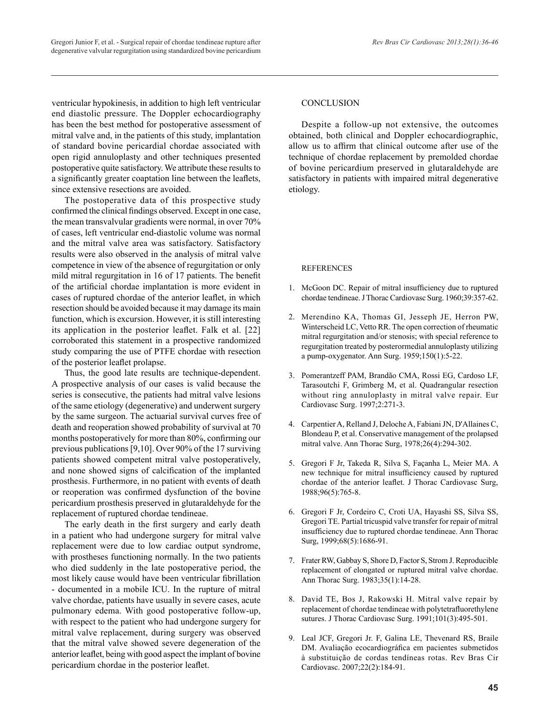ventricular hypokinesis, in addition to high left ventricular end diastolic pressure. The Doppler echocardiography has been the best method for postoperative assessment of mitral valve and, in the patients of this study, implantation of standard bovine pericardial chordae associated with open rigid annuloplasty and other techniques presented postoperative quite satisfactory. We attribute these results to a significantly greater coaptation line between the leaflets, since extensive resections are avoided.

The postoperative data of this prospective study confirmed the clinical findings observed. Except in one case, the mean transvalvular gradients were normal, in over 70% of cases, left ventricular end-diastolic volume was normal and the mitral valve area was satisfactory. Satisfactory results were also observed in the analysis of mitral valve competence in view of the absence of regurgitation or only mild mitral regurgitation in 16 of 17 patients. The benefit of the artificial chordae implantation is more evident in cases of ruptured chordae of the anterior leaflet, in which resection should be avoided because it may damage its main function, which is excursion. However, it is still interesting its application in the posterior leaflet. Falk et al. [22] corroborated this statement in a prospective randomized study comparing the use of PTFE chordae with resection of the posterior leaflet prolapse.

Thus, the good late results are technique-dependent. A prospective analysis of our cases is valid because the series is consecutive, the patients had mitral valve lesions of the same etiology (degenerative) and underwent surgery by the same surgeon. The actuarial survival curves free of death and reoperation showed probability of survival at 70 months postoperatively for more than 80%, confirming our previous publications [9,10]. Over 90% of the 17 surviving patients showed competent mitral valve postoperatively, and none showed signs of calcification of the implanted prosthesis. Furthermore, in no patient with events of death or reoperation was confirmed dysfunction of the bovine pericardium prosthesis preserved in glutaraldehyde for the replacement of ruptured chordae tendineae.

The early death in the first surgery and early death in a patient who had undergone surgery for mitral valve replacement were due to low cardiac output syndrome, with prostheses functioning normally. In the two patients who died suddenly in the late postoperative period, the most likely cause would have been ventricular fibrillation - documented in a mobile ICU. In the rupture of mitral valve chordae, patients have usually in severe cases, acute pulmonary edema. With good postoperative follow-up, with respect to the patient who had undergone surgery for mitral valve replacement, during surgery was observed that the mitral valve showed severe degeneration of the anterior leaflet, being with good aspect the implant of bovine pericardium chordae in the posterior leaflet.

# **CONCLUSION**

Despite a follow-up not extensive, the outcomes obtained, both clinical and Doppler echocardiographic, allow us to affirm that clinical outcome after use of the technique of chordae replacement by premolded chordae of bovine pericardium preserved in glutaraldehyde are satisfactory in patients with impaired mitral degenerative etiology.

# REFERENCES

- 1. McGoon DC. Repair of mitral insufficiency due to ruptured chordae tendineae. J Thorac Cardiovasc Surg. 1960;39:357-62.
- 2. Merendino KA, Thomas GI, Jesseph JE, Herron PW, Winterscheid LC, Vetto RR. The open correction of rheumatic mitral regurgitation and/or stenosis; with special reference to regurgitation treated by posterormedial annuloplasty utilizing a pump-oxygenator. Ann Surg. 1959;150(1):5-22.
- 3. Pomerantzeff PAM, Brandão CMA, Rossi EG, Cardoso LF, Tarasoutchi F, Grimberg M, et al. Quadrangular resection without ring annuloplasty in mitral valve repair. Eur Cardiovasc Surg. 1997;2:271-3.
- 4. Carpentier A, Relland J, Deloche A, Fabiani JN, D'Allaines C, Blondeau P, et al. Conservative management of the prolapsed mitral valve. Ann Thorac Surg, 1978;26(4):294-302.
- 5. Gregori F Jr, Takeda R, Silva S, Façanha L, Meier MA. A new technique for mitral insufficiency caused by ruptured chordae of the anterior leaflet. J Thorac Cardiovasc Surg, 1988;96(5):765-8.
- 6. Gregori F Jr, Cordeiro C, Croti UA, Hayashi SS, Silva SS, Gregori TE. Partial tricuspid valve transfer for repair of mitral insufficiency due to ruptured chordae tendineae. Ann Thorac Surg, 1999;68(5):1686-91.
- 7. Frater RW, Gabbay S, Shore D, Factor S, Strom J. Reproducible replacement of elongated or ruptured mitral valve chordae. Ann Thorac Surg. 1983;35(1):14-28.
- 8. David TE, Bos J, Rakowski H. Mitral valve repair by replacement of chordae tendineae with polytetrafluorethylene sutures. J Thorac Cardiovasc Surg. 1991;101(3):495-501.
- 9. Leal JCF, Gregori Jr. F, Galina LE, Thevenard RS, Braile DM. Avaliação ecocardiográfica em pacientes submetidos à substituição de cordas tendíneas rotas. Rev Bras Cir Cardiovasc. 2007;22(2):184-91.